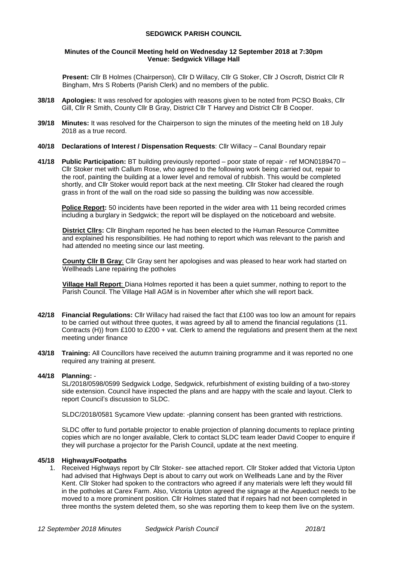#### **SEDGWICK PARISH COUNCIL**

#### **Minutes of the Council Meeting held on Wednesday 12 September 2018 at 7:30pm Venue: Sedgwick Village Hall**

**Present:** Cllr B Holmes (Chairperson), Cllr D Willacy, Cllr G Stoker, Cllr J Oscroft, District Cllr R Bingham, Mrs S Roberts (Parish Clerk) and no members of the public.

- **38/18 Apologies:** It was resolved for apologies with reasons given to be noted from PCSO Boaks, Cllr Gill, Cllr R Smith, County Cllr B Gray, District Cllr T Harvey and District Cllr B Cooper.
- **39/18 Minutes:** It was resolved for the Chairperson to sign the minutes of the meeting held on 18 July 2018 as a true record.
- **40/18 Declarations of Interest / Dispensation Requests**: Cllr Willacy Canal Boundary repair
- **41/18 Public Participation:** BT building previously reported poor state of repair ref MON0189470 Cllr Stoker met with Callum Rose, who agreed to the following work being carried out, repair to the roof, painting the building at a lower level and removal of rubbish. This would be completed shortly, and Cllr Stoker would report back at the next meeting. Cllr Stoker had cleared the rough grass in front of the wall on the road side so passing the building was now accessible.

**Police Report:** 50 incidents have been reported in the wider area with 11 being recorded crimes including a burglary in Sedgwick; the report will be displayed on the noticeboard and website.

**District Cllrs:** Cllr Bingham reported he has been elected to the Human Resource Committee and explained his responsibilities. He had nothing to report which was relevant to the parish and had attended no meeting since our last meeting.

**County Cllr B Gray**: Cllr Gray sent her apologises and was pleased to hear work had started on Wellheads Lane repairing the potholes

**Village Hall Report**: Diana Holmes reported it has been a quiet summer, nothing to report to the Parish Council. The Village Hall AGM is in November after which she will report back.

- **42/18 Financial Regulations:** Cllr Willacy had raised the fact that £100 was too low an amount for repairs to be carried out without three quotes, it was agreed by all to amend the financial regulations (11. Contracts (H)) from £100 to £200 + vat. Clerk to amend the regulations and present them at the next meeting under finance
- **43/18 Training:** All Councillors have received the autumn training programme and it was reported no one required any training at present.

### **44/18 Planning:** -

SL/2018/0598/0599 Sedgwick Lodge, Sedgwick, refurbishment of existing building of a two-storey side extension. Council have inspected the plans and are happy with the scale and layout. Clerk to report Council's discussion to SLDC.

SLDC/2018/0581 Sycamore View update: -planning consent has been granted with restrictions.

SLDC offer to fund portable projector to enable projection of planning documents to replace printing copies which are no longer available, Clerk to contact SLDC team leader David Cooper to enquire if they will purchase a projector for the Parish Council, update at the next meeting.

#### **45/18 Highways/Footpaths**

1. Received Highways report by Cllr Stoker- see attached report. Cllr Stoker added that Victoria Upton had advised that Highways Dept is about to carry out work on Wellheads Lane and by the River Kent. Cllr Stoker had spoken to the contractors who agreed if any materials were left they would fill in the potholes at Carex Farm. Also, Victoria Upton agreed the signage at the Aqueduct needs to be moved to a more prominent position. Cllr Holmes stated that if repairs had not been completed in three months the system deleted them, so she was reporting them to keep them live on the system.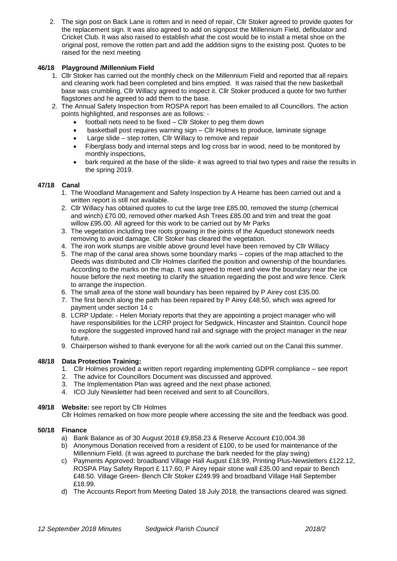2. The sign post on Back Lane is rotten and in need of repair, Cllr Stoker agreed to provide quotes for the replacement sign. It was also agreed to add on signpost the Millennium Field, defibulator and Cricket Club. It was also raised to establish what the cost would be to install a metal shoe on the original post, remove the rotten part and add the addition signs to the existing post. Quotes to be raised for the next meeting

# **46/18 Playground /Millennium Field**

- 1. Cllr Stoker has carried out the monthly check on the Millennium Field and reported that all repairs and cleaning work had been completed and bins emptied. It was raised that the new basketball base was crumbling, Cllr Willacy agreed to inspect it. Cllr Stoker produced a quote for two further flagstones and he agreed to add them to the base.
- 2. The Annual Safety Inspection from ROSPA report has been emailed to all Councillors. The action points highlighted, and responses are as follows: -
	- football nets need to be fixed Cllr Stoker to peg them down
	- basketball post requires warning sign Cllr Holmes to produce, laminate signage
	- Large slide step rotten, Cllr Willacy to remove and repair
	- Fiberglass body and internal steps and log cross bar in wood, need to be monitored by monthly inspections,
	- bark required at the base of the slide- it was agreed to trial two types and raise the results in the spring 2019.

# **47/18 Canal**

- 1. The Woodland Management and Safety Inspection by A Hearne has been carried out and a written report is still not available.
- 2. Cllr Willacy has obtained quotes to cut the large tree £85.00, removed the stump (chemical and winch) £70.00, removed other marked Ash Trees £85.00 and trim and treat the goat willow £95.00. All agreed for this work to be carried out by Mr Parks
- 3. The vegetation including tree roots growing in the joints of the Aqueduct stonework needs removing to avoid damage. Cllr Stoker has cleared the vegetation.
- 4. The iron work stumps are visible above ground level have been removed by Cllr Willacy
- 5. The map of the canal area shows some boundary marks copies of the map attached to the Deeds was distributed and Cllr Holmes clarified the position and ownership of the boundaries. According to the marks on the map. It was agreed to meet and view the boundary near the ice house before the next meeting to clarify the situation regarding the post and wire fence. Clerk to arrange the inspection.
- 6. The small area of the stone wall boundary has been repaired by P Airey cost £35.00.
- 7. The first bench along the path has been repaired by P Airey £48.50, which was agreed for payment under section 14 c
- 8. LCRP Update: Helen Moriaty reports that they are appointing a project manager who will have responsibilities for the LCRP project for Sedgwick, Hincaster and Stainton. Council hope to explore the suggested improved hand rail and signage with the project manager in the near future.
- 9. Chairperson wished to thank everyone for all the work carried out on the Canal this summer.

# **48/18 Data Protection Training:**

- 1. Cllr Holmes provided a written report regarding implementing GDPR compliance see report
- 2. The advice for Councillors Document was discussed and approved.
- 3. The Implementation Plan was agreed and the next phase actioned.
- 4. ICO July Newsletter had been received and sent to all Councillors.

# **49/18 Website:** see report by Cllr Holmes

Cllr Holmes remarked on how more people where accessing the site and the feedback was good.

# **50/18 Finance**

- a) Bank Balance as of 30 August 2018 £9,858.23 & Reserve Account £10,004.38
- b) Anonymous Donation received from a resident of £100, to be used for maintenance of the Millennium Field. (it was agreed to purchase the bark needed for the play swing)
- c) Payments Approved: broadband Village Hall August £18.99, Printing Plus-Newsletters £122.12, ROSPA Play Safety Report £ 117.60, P Airey repair stone wall £35.00 and repair to Bench £48.50. Village Green- Bench Cllr Stoker £249.99 and broadband Village Hall September £18.99.
- d) The Accounts Report from Meeting Dated 18 July 2018, the transactions cleared was signed.